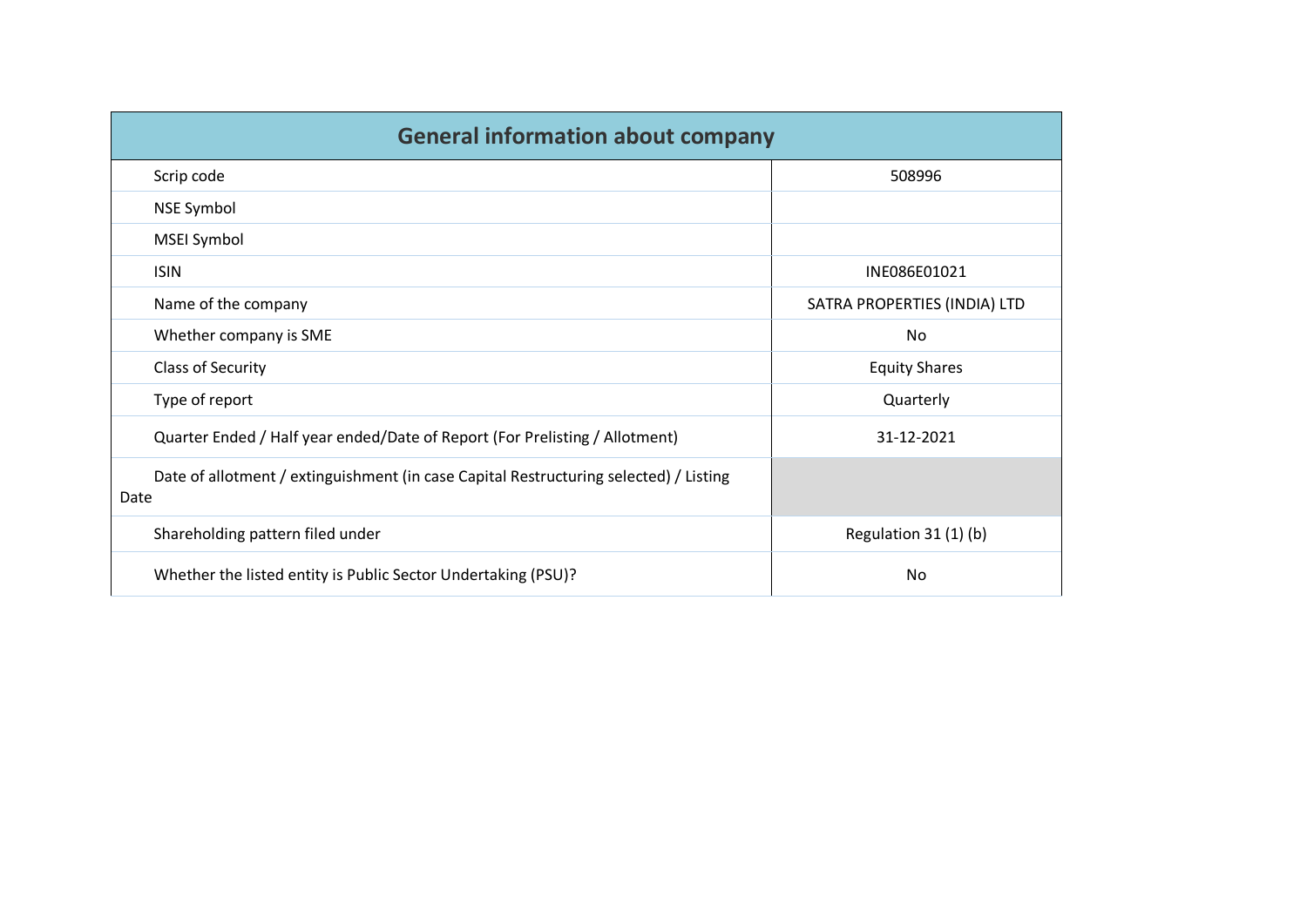| <b>General information about company</b>                                                      |                              |
|-----------------------------------------------------------------------------------------------|------------------------------|
| Scrip code                                                                                    | 508996                       |
| <b>NSE Symbol</b>                                                                             |                              |
| <b>MSEI Symbol</b>                                                                            |                              |
| <b>ISIN</b>                                                                                   | INE086E01021                 |
| Name of the company                                                                           | SATRA PROPERTIES (INDIA) LTD |
| Whether company is SME                                                                        | <b>No</b>                    |
| Class of Security                                                                             | <b>Equity Shares</b>         |
| Type of report                                                                                | Quarterly                    |
| Quarter Ended / Half year ended/Date of Report (For Prelisting / Allotment)                   | 31-12-2021                   |
| Date of allotment / extinguishment (in case Capital Restructuring selected) / Listing<br>Date |                              |
| Shareholding pattern filed under                                                              | Regulation 31 (1) (b)        |
| Whether the listed entity is Public Sector Undertaking (PSU)?                                 | No                           |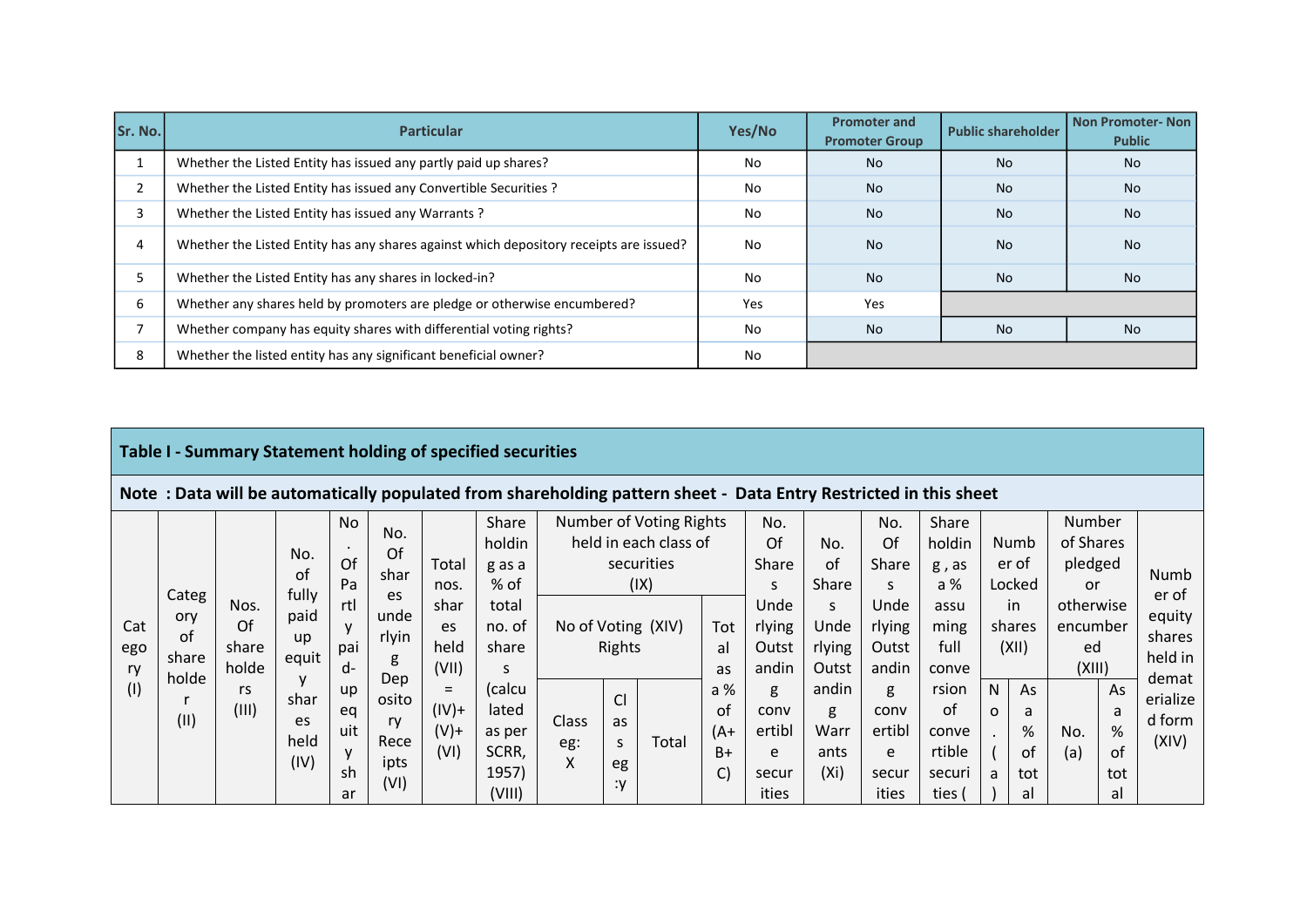| Sr. No.        | <b>Particular</b>                                                                      | Yes/No | <b>Promoter and</b><br><b>Promoter Group</b> | <b>Public shareholder</b> | Non Promoter-Non<br><b>Public</b> |
|----------------|----------------------------------------------------------------------------------------|--------|----------------------------------------------|---------------------------|-----------------------------------|
|                | Whether the Listed Entity has issued any partly paid up shares?                        | No     | <b>No</b>                                    | <b>No</b>                 | <b>No</b>                         |
| $\overline{2}$ | Whether the Listed Entity has issued any Convertible Securities ?                      | No     | <b>No</b>                                    | <b>No</b>                 | <b>No</b>                         |
| 3              | Whether the Listed Entity has issued any Warrants?                                     | No     | <b>No</b>                                    | <b>No</b>                 | <b>No</b>                         |
| 4              | Whether the Listed Entity has any shares against which depository receipts are issued? | No     | <b>No</b>                                    | <b>No</b>                 | <b>No</b>                         |
|                | Whether the Listed Entity has any shares in locked-in?                                 | No     | <b>No</b>                                    | <b>No</b>                 | <b>No</b>                         |
| 6              | Whether any shares held by promoters are pledge or otherwise encumbered?               | Yes    | Yes                                          |                           |                                   |
| 7              | Whether company has equity shares with differential voting rights?                     | No     | <b>No</b>                                    | <b>No</b>                 | <b>No</b>                         |
| 8              | Whether the listed entity has any significant beneficial owner?                        | No     |                                              |                           |                                   |

| Table I - Summary Statement holding of specified securities |  |
|-------------------------------------------------------------|--|
|                                                             |  |

| Note: Data will be automatically populated from shareholding pattern sheet - Data Entry Restricted in this sheet |  |  |
|------------------------------------------------------------------------------------------------------------------|--|--|
|------------------------------------------------------------------------------------------------------------------|--|--|

|     |                |       |                    | No        |            |          | Share  |              |                    | Number of Voting Rights |        | No.    |                   | No.    | Share    |          |        | Number    |     |                   |           |
|-----|----------------|-------|--------------------|-----------|------------|----------|--------|--------------|--------------------|-------------------------|--------|--------|-------------------|--------|----------|----------|--------|-----------|-----|-------------------|-----------|
|     |                |       | No.                | $\bullet$ | No.<br>Of  |          | holdin |              |                    | held in each class of   |        | Of     | No.               | Of     | holdin   |          | Numb   | of Shares |     |                   |           |
|     |                |       | of                 | Of        | shar       | Total    | g as a |              |                    | securities              |        | Share  | of                | Share  | $g$ , as |          | er of  | pledged   |     | Numb              |           |
|     | Categ          |       | fully<br>paid      |           | Pa         | es       | nos.   | % of         |                    |                         | (IX)   |        | S                 | Share  | S.       | a %      |        | Locked    | or  |                   | er of     |
|     | ory            | Nos.  |                    |           |            |          | rtl    | unde         | shar               | total                   |        |        |                   |        | Unde     | S.       | Unde   | assu      |     | in                | otherwise |
| Cat | οt             | Of    |                    | ۷         |            | es       | no. of | share        | No of Voting (XIV) |                         | Tot    | rlying | Unde              | rlying | ming     |          | shares | encumber  |     | equity            |           |
| ego |                | share | <b>up</b><br>equit | pai       | rlyin      | held     |        |              | Rights             |                         | al     | Outst  | rlying            | Outst  | full     |          | (XII)  | ed        |     | shares<br>held in |           |
| ry  | share<br>holde | holde |                    | d-        | g<br>Dep   | (VII)    | S      |              |                    |                         | as     | andin  | Outst             | andin  | conve    |          |        | (XIII)    |     | demat             |           |
| (1) |                | rs    | v<br>shar          | up        |            | osito    | $=$    | (calcu       |                    | CI                      |        | a %    | g                 | andin  | g        | rsion    | N      | As        |     | As                | erialize  |
|     | (11)           | (III) |                    | eq        |            | $(IV) +$ | lated  |              |                    |                         | of     | conv   | g                 | conv   | of       | $\Omega$ | a      |           | a   | d form            |           |
|     |                |       | es<br>held<br>(IV) | uit       | rv<br>Rece | $(V)$ +  | as per | <b>Class</b> | as                 | Total                   | $(A+)$ | ertibl | Warr              | ertibl | conve    |          | %      | No.       | %   | (XIV)             |           |
|     |                |       |                    | y         |            | (VI)     | SCRR,  | eg:          | S                  |                         | $B+$   | e      | ants              | e      | rtible   |          | 0f     | (a)       | of  |                   |           |
|     |                |       |                    | sh        | ipts       |          | 1957)  | Χ            | eg                 |                         |        | secur  | (X <sub>i</sub> ) | secur  | securi   | a        | tot    |           | tot |                   |           |
|     |                |       |                    | ar        | (VI)       |          | (VIII) |              | ∶y                 |                         |        | ities  |                   | ities  | ties     |          | al     |           | al  |                   |           |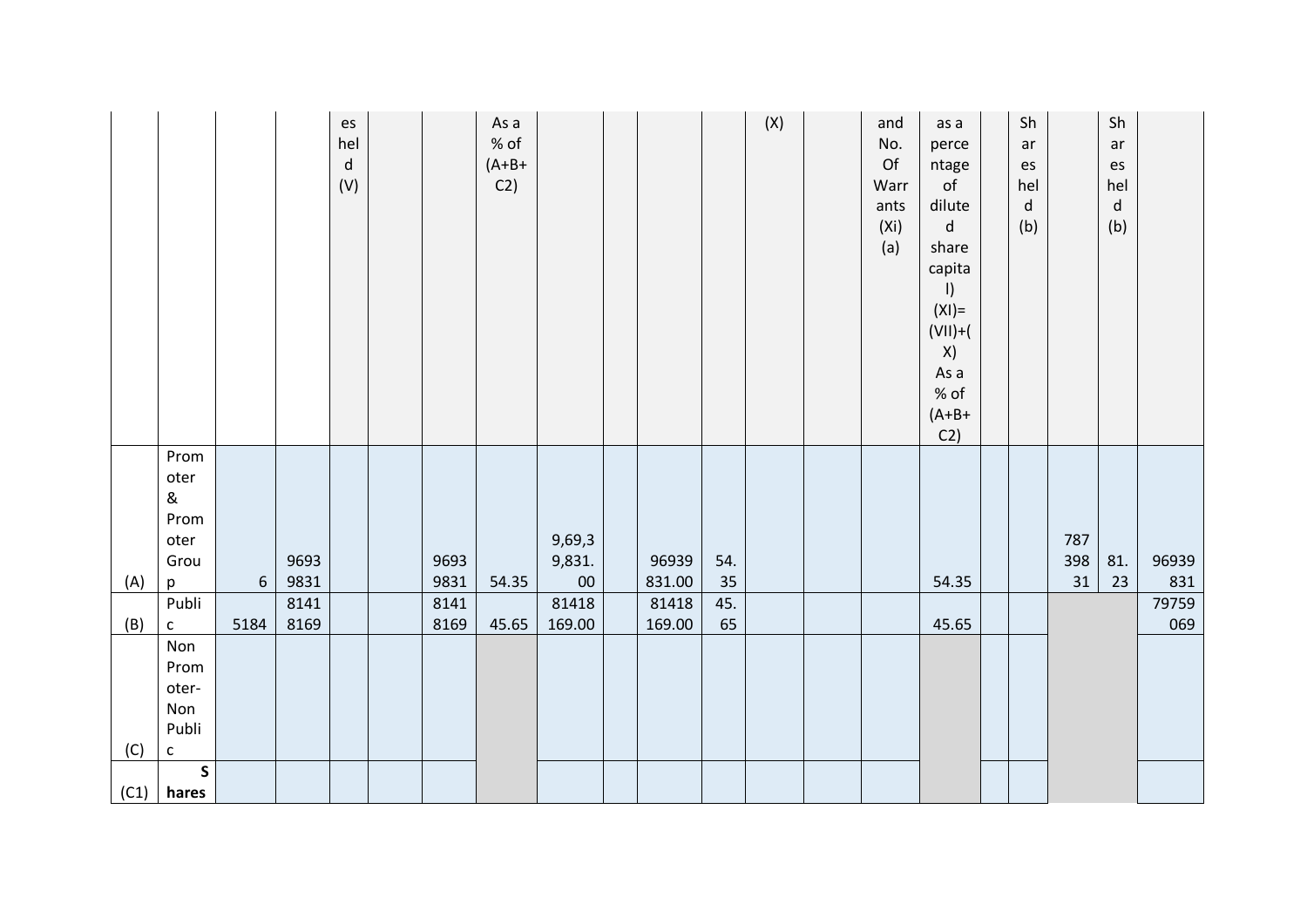|     |                             |                 |              | es<br>hel<br>$\operatorname{\mathsf{d}}$<br>(V) |              | As a<br>$%$ of<br>$(A+B+$<br>C2) |                     |                 |           | (X) | and<br>No.<br>Of<br>Warr<br>ants<br>(X <sub>i</sub> )<br>(a) | as a<br>perce<br>ntage<br>of<br>dilute<br>$\operatorname{\mathsf{d}}$<br>share<br>capita<br>I)<br>$(XI) =$<br>$(VII)+($<br>X)<br>As a<br>$%$ of<br>$(A+B+$<br>C2) | Sh<br>ar<br>es<br>hel<br>d<br>(b) |     | Sh<br>ar<br>es<br>hel<br>$\mathsf{d}$<br>(b) |              |
|-----|-----------------------------|-----------------|--------------|-------------------------------------------------|--------------|----------------------------------|---------------------|-----------------|-----------|-----|--------------------------------------------------------------|-------------------------------------------------------------------------------------------------------------------------------------------------------------------|-----------------------------------|-----|----------------------------------------------|--------------|
|     | Prom<br>oter                |                 |              |                                                 |              |                                  |                     |                 |           |     |                                                              |                                                                                                                                                                   |                                   |     |                                              |              |
|     | $\pmb{\mathcal{S}}$<br>Prom |                 |              |                                                 |              |                                  |                     |                 |           |     |                                                              |                                                                                                                                                                   |                                   |     |                                              |              |
|     | oter                        |                 |              |                                                 |              |                                  | 9,69,3              |                 |           |     |                                                              |                                                                                                                                                                   |                                   | 787 |                                              |              |
|     | Grou                        |                 | 9693         |                                                 | 9693         |                                  | 9,831.              | 96939           | 54.       |     |                                                              |                                                                                                                                                                   |                                   | 398 | 81.                                          | 96939        |
| (A) | p<br>Publi                  | $6\overline{6}$ | 9831<br>8141 |                                                 | 9831<br>8141 | 54.35                            | ${\bf 00}$<br>81418 | 831.00<br>81418 | 35<br>45. |     |                                                              | 54.35                                                                                                                                                             |                                   | 31  | 23                                           | 831<br>79759 |
| (B) | $\mathsf{C}^-$              | 5184            | 8169         |                                                 | 8169         | 45.65                            | 169.00              | 169.00          | 65        |     |                                                              | 45.65                                                                                                                                                             |                                   |     |                                              | 069          |
|     | Non                         |                 |              |                                                 |              |                                  |                     |                 |           |     |                                                              |                                                                                                                                                                   |                                   |     |                                              |              |
|     | Prom                        |                 |              |                                                 |              |                                  |                     |                 |           |     |                                                              |                                                                                                                                                                   |                                   |     |                                              |              |
|     | oter-                       |                 |              |                                                 |              |                                  |                     |                 |           |     |                                                              |                                                                                                                                                                   |                                   |     |                                              |              |
|     | Non<br>Publi                |                 |              |                                                 |              |                                  |                     |                 |           |     |                                                              |                                                                                                                                                                   |                                   |     |                                              |              |
| (C) | $\mathsf{C}$                |                 |              |                                                 |              |                                  |                     |                 |           |     |                                                              |                                                                                                                                                                   |                                   |     |                                              |              |
|     | $\mathsf{s}$                |                 |              |                                                 |              |                                  |                     |                 |           |     |                                                              |                                                                                                                                                                   |                                   |     |                                              |              |
|     | $(C1)$ hares                |                 |              |                                                 |              |                                  |                     |                 |           |     |                                                              |                                                                                                                                                                   |                                   |     |                                              |              |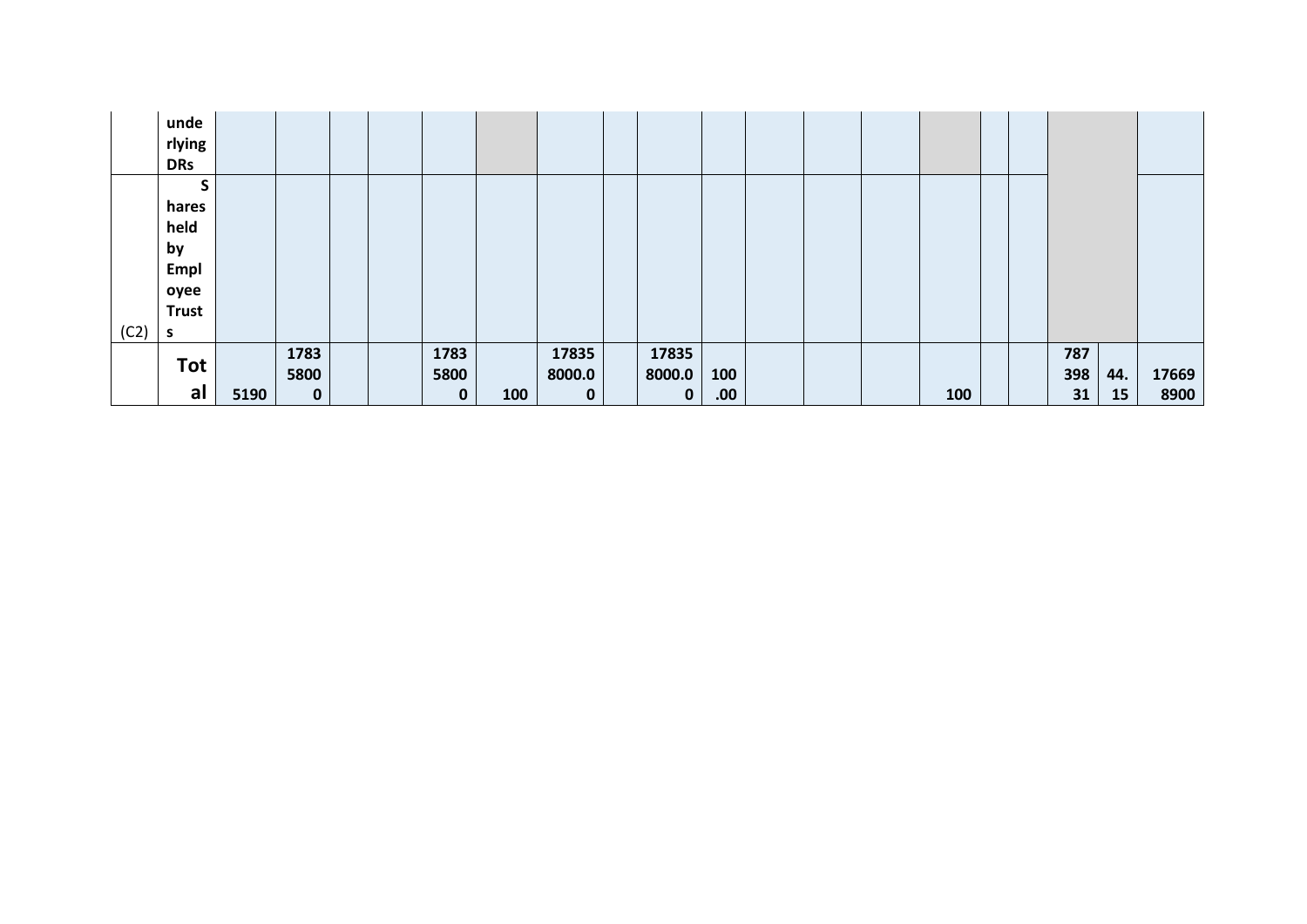| (C2) | s<br><b>Tot</b>              | 1783 |  | 1783 | 17835 | 17835 |  |  |  | 787 |  |
|------|------------------------------|------|--|------|-------|-------|--|--|--|-----|--|
|      | Empl<br>oyee<br><b>Trust</b> |      |  |      |       |       |  |  |  |     |  |
|      | held<br>by                   |      |  |      |       |       |  |  |  |     |  |
|      | S<br>hares                   |      |  |      |       |       |  |  |  |     |  |
|      | unde<br>rlying<br><b>DRs</b> |      |  |      |       |       |  |  |  |     |  |